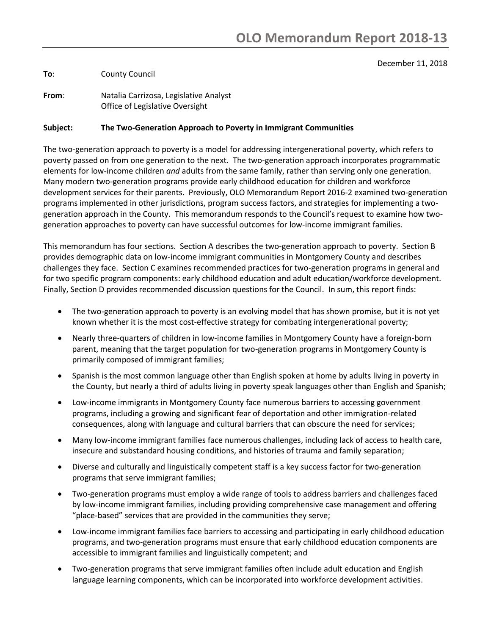#### December 11, 2018

**To**: County Council

**From**: Natalia Carrizosa, Legislative Analyst Office of Legislative Oversight

#### **Subject: The Two-Generation Approach to Poverty in Immigrant Communities**

The two-generation approach to poverty is a model for addressing intergenerational poverty, which refers to poverty passed on from one generation to the next. The two-generation approach incorporates programmatic elements for low-income children *and* adults from the same family, rather than serving only one generation. Many modern two-generation programs provide early childhood education for children and workforce development services for their parents. Previously, OLO Memorandum Report 2016-2 examined two-generation programs implemented in other jurisdictions, program success factors, and strategies for implementing a twogeneration approach in the County. This memorandum responds to the Council's request to examine how twogeneration approaches to poverty can have successful outcomes for low-income immigrant families.

This memorandum has four sections. Section A describes the two-generation approach to poverty. Section B provides demographic data on low-income immigrant communities in Montgomery County and describes challenges they face. Section C examines recommended practices for two-generation programs in general and for two specific program components: early childhood education and adult education/workforce development. Finally, Section D provides recommended discussion questions for the Council. In sum, this report finds:

- The two-generation approach to poverty is an evolving model that has shown promise, but it is not yet known whether it is the most cost-effective strategy for combating intergenerational poverty;
- Nearly three-quarters of children in low-income families in Montgomery County have a foreign-born parent, meaning that the target population for two-generation programs in Montgomery County is primarily composed of immigrant families;
- Spanish is the most common language other than English spoken at home by adults living in poverty in the County, but nearly a third of adults living in poverty speak languages other than English and Spanish;
- Low-income immigrants in Montgomery County face numerous barriers to accessing government programs, including a growing and significant fear of deportation and other immigration-related consequences, along with language and cultural barriers that can obscure the need for services;
- Many low-income immigrant families face numerous challenges, including lack of access to health care, insecure and substandard housing conditions, and histories of trauma and family separation;
- Diverse and culturally and linguistically competent staff is a key success factor for two-generation programs that serve immigrant families;
- Two-generation programs must employ a wide range of tools to address barriers and challenges faced by low-income immigrant families, including providing comprehensive case management and offering "place-based" services that are provided in the communities they serve;
- Low-income immigrant families face barriers to accessing and participating in early childhood education programs, and two-generation programs must ensure that early childhood education components are accessible to immigrant families and linguistically competent; and
- Two-generation programs that serve immigrant families often include adult education and English language learning components, which can be incorporated into workforce development activities.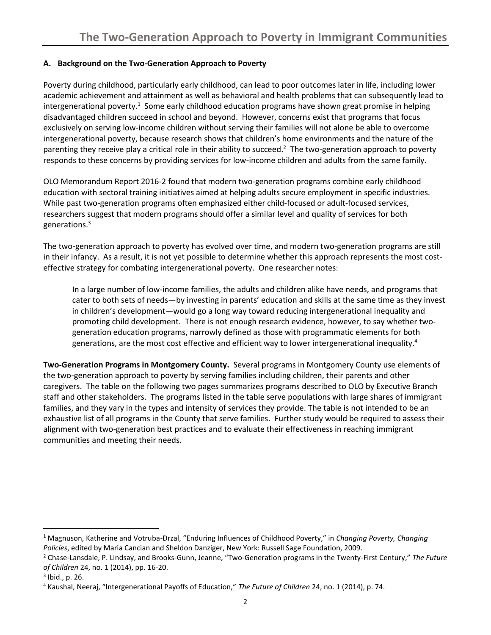## **A. Background on the Two-Generation Approach to Poverty**

Poverty during childhood, particularly early childhood, can lead to poor outcomes later in life, including lower academic achievement and attainment as well as behavioral and health problems that can subsequently lead to intergenerational poverty.<sup>1</sup> Some early childhood education programs have shown great promise in helping disadvantaged children succeed in school and beyond. However, concerns exist that programs that focus exclusively on serving low-income children without serving their families will not alone be able to overcome intergenerational poverty, because research shows that children's home environments and the nature of the parenting they receive play a critical role in their ability to succeed.<sup>2</sup> The two-generation approach to poverty responds to these concerns by providing services for low-income children and adults from the same family.

OLO Memorandum Report 2016-2 found that modern two-generation programs combine early childhood education with sectoral training initiatives aimed at helping adults secure employment in specific industries. While past two-generation programs often emphasized either child-focused or adult-focused services, researchers suggest that modern programs should offer a similar level and quality of services for both generations. 3

The two-generation approach to poverty has evolved over time, and modern two-generation programs are still in their infancy. As a result, it is not yet possible to determine whether this approach represents the most costeffective strategy for combating intergenerational poverty. One researcher notes:

In a large number of low-income families, the adults and children alike have needs, and programs that cater to both sets of needs—by investing in parents' education and skills at the same time as they invest in children's development—would go a long way toward reducing intergenerational inequality and promoting child development. There is not enough research evidence, however, to say whether twogeneration education programs, narrowly defined as those with programmatic elements for both generations, are the most cost effective and efficient way to lower intergenerational inequality.<sup>4</sup>

**Two-Generation Programs in Montgomery County.** Several programs in Montgomery County use elements of the two-generation approach to poverty by serving families including children, their parents and other caregivers. The table on the following two pages summarizes programs described to OLO by Executive Branch staff and other stakeholders. The programs listed in the table serve populations with large shares of immigrant families, and they vary in the types and intensity of services they provide. The table is not intended to be an exhaustive list of all programs in the County that serve families. Further study would be required to assess their alignment with two-generation best practices and to evaluate their effectiveness in reaching immigrant communities and meeting their needs.

l

<sup>1</sup> Magnuson, Katherine and Votruba-Drzal, "Enduring Influences of Childhood Poverty," in *Changing Poverty, Changing Policies*, edited by Maria Cancian and Sheldon Danziger, New York: Russell Sage Foundation, 2009.

<sup>2</sup> Chase-Lansdale, P. Lindsay, and Brooks-Gunn, Jeanne, "Two-Generation programs in the Twenty-First Century," *The Future of Children* 24, no. 1 (2014), pp. 16-20.

<sup>3</sup> Ibid., p. 26.

<sup>4</sup> Kaushal, Neeraj, "Intergenerational Payoffs of Education," *The Future of Children* 24, no. 1 (2014), p. 74.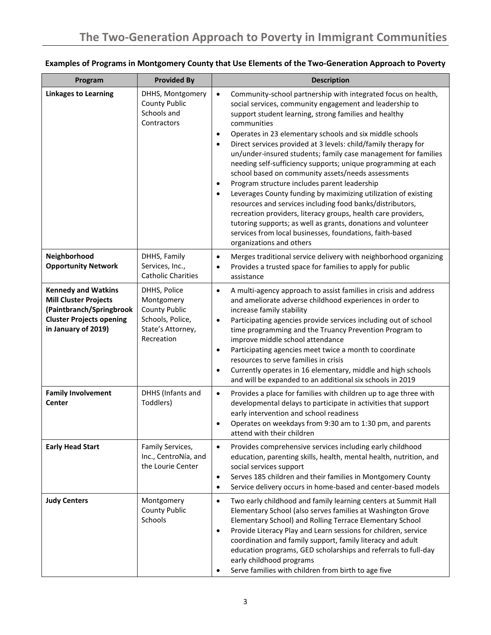| Program                                                                                                                                          | <b>Provided By</b>                                                                                        | <b>Description</b>                                                                                                                                                                                                                                                                                                                                                                                                                                                                                                                                                                                                                                                                                                                                                                                                                                                                                                                                                                                |
|--------------------------------------------------------------------------------------------------------------------------------------------------|-----------------------------------------------------------------------------------------------------------|---------------------------------------------------------------------------------------------------------------------------------------------------------------------------------------------------------------------------------------------------------------------------------------------------------------------------------------------------------------------------------------------------------------------------------------------------------------------------------------------------------------------------------------------------------------------------------------------------------------------------------------------------------------------------------------------------------------------------------------------------------------------------------------------------------------------------------------------------------------------------------------------------------------------------------------------------------------------------------------------------|
| <b>Linkages to Learning</b>                                                                                                                      | DHHS, Montgomery<br><b>County Public</b><br>Schools and<br>Contractors                                    | Community-school partnership with integrated focus on health,<br>$\bullet$<br>social services, community engagement and leadership to<br>support student learning, strong families and healthy<br>communities<br>Operates in 23 elementary schools and six middle schools<br>$\bullet$<br>Direct services provided at 3 levels: child/family therapy for<br>$\bullet$<br>un/under-insured students; family case management for families<br>needing self-sufficiency supports; unique programming at each<br>school based on community assets/needs assessments<br>Program structure includes parent leadership<br>$\bullet$<br>Leverages County funding by maximizing utilization of existing<br>$\bullet$<br>resources and services including food banks/distributors,<br>recreation providers, literacy groups, health care providers,<br>tutoring supports; as well as grants, donations and volunteer<br>services from local businesses, foundations, faith-based<br>organizations and others |
| Neighborhood<br><b>Opportunity Network</b>                                                                                                       | DHHS, Family<br>Services, Inc.,<br><b>Catholic Charities</b>                                              | Merges traditional service delivery with neighborhood organizing<br>$\bullet$<br>Provides a trusted space for families to apply for public<br>٠<br>assistance                                                                                                                                                                                                                                                                                                                                                                                                                                                                                                                                                                                                                                                                                                                                                                                                                                     |
| <b>Kennedy and Watkins</b><br><b>Mill Cluster Projects</b><br>(Paintbranch/Springbrook<br><b>Cluster Projects opening</b><br>in January of 2019) | DHHS, Police<br>Montgomery<br><b>County Public</b><br>Schools, Police,<br>State's Attorney,<br>Recreation | A multi-agency approach to assist families in crisis and address<br>$\bullet$<br>and ameliorate adverse childhood experiences in order to<br>increase family stability<br>Participating agencies provide services including out of school<br>$\bullet$<br>time programming and the Truancy Prevention Program to<br>improve middle school attendance<br>Participating agencies meet twice a month to coordinate<br>$\bullet$<br>resources to serve families in crisis<br>Currently operates in 16 elementary, middle and high schools<br>$\bullet$<br>and will be expanded to an additional six schools in 2019                                                                                                                                                                                                                                                                                                                                                                                   |
| <b>Family Involvement</b><br>Center                                                                                                              | DHHS (Infants and<br>Toddlers)                                                                            | Provides a place for families with children up to age three with<br>$\bullet$<br>developmental delays to participate in activities that support<br>early intervention and school readiness<br>Operates on weekdays from 9:30 am to 1:30 pm, and parents<br>٠<br>attend with their children                                                                                                                                                                                                                                                                                                                                                                                                                                                                                                                                                                                                                                                                                                        |
| <b>Early Head Start</b>                                                                                                                          | Family Services,<br>Inc., CentroNía, and<br>the Lourie Center                                             | Provides comprehensive services including early childhood<br>$\bullet$<br>education, parenting skills, health, mental health, nutrition, and<br>social services support<br>Serves 185 children and their families in Montgomery County<br>$\bullet$<br>Service delivery occurs in home-based and center-based models<br>٠                                                                                                                                                                                                                                                                                                                                                                                                                                                                                                                                                                                                                                                                         |
| <b>Judy Centers</b>                                                                                                                              | Montgomery<br><b>County Public</b><br>Schools                                                             | Two early childhood and family learning centers at Summit Hall<br>$\bullet$<br>Elementary School (also serves families at Washington Grove<br>Elementary School) and Rolling Terrace Elementary School<br>Provide Literacy Play and Learn sessions for children, service<br>$\bullet$<br>coordination and family support, family literacy and adult<br>education programs, GED scholarships and referrals to full-day<br>early childhood programs<br>Serve families with children from birth to age five                                                                                                                                                                                                                                                                                                                                                                                                                                                                                          |

# **Examples of Programs in Montgomery County that Use Elements of the Two-Generation Approach to Poverty**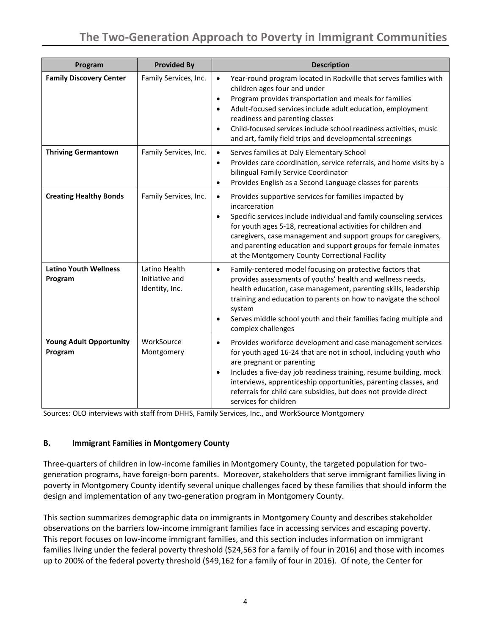# **The Two-Generation Approach to Poverty in Immigrant Communities**

| Program                                   | <b>Provided By</b>                                | <b>Description</b>                                                                                                                                                                                                                                                                                                                                                                                                                                |
|-------------------------------------------|---------------------------------------------------|---------------------------------------------------------------------------------------------------------------------------------------------------------------------------------------------------------------------------------------------------------------------------------------------------------------------------------------------------------------------------------------------------------------------------------------------------|
| <b>Family Discovery Center</b>            | Family Services, Inc.                             | Year-round program located in Rockville that serves families with<br>$\bullet$<br>children ages four and under<br>Program provides transportation and meals for families<br>$\bullet$<br>Adult-focused services include adult education, employment<br>$\bullet$<br>readiness and parenting classes<br>Child-focused services include school readiness activities, music<br>$\bullet$<br>and art, family field trips and developmental screenings |
| <b>Thriving Germantown</b>                | Family Services, Inc.                             | Serves families at Daly Elementary School<br>$\bullet$<br>Provides care coordination, service referrals, and home visits by a<br>$\bullet$<br>bilingual Family Service Coordinator<br>Provides English as a Second Language classes for parents<br>$\bullet$                                                                                                                                                                                      |
| <b>Creating Healthy Bonds</b>             | Family Services, Inc.                             | Provides supportive services for families impacted by<br>$\bullet$<br>incarceration<br>Specific services include individual and family counseling services<br>$\bullet$<br>for youth ages 5-18, recreational activities for children and<br>caregivers, case management and support groups for caregivers,<br>and parenting education and support groups for female inmates<br>at the Montgomery County Correctional Facility                     |
| <b>Latino Youth Wellness</b><br>Program   | Latino Health<br>Initiative and<br>Identity, Inc. | Family-centered model focusing on protective factors that<br>$\bullet$<br>provides assessments of youths' health and wellness needs,<br>health education, case management, parenting skills, leadership<br>training and education to parents on how to navigate the school<br>system<br>Serves middle school youth and their families facing multiple and<br>$\bullet$<br>complex challenges                                                      |
| <b>Young Adult Opportunity</b><br>Program | WorkSource<br>Montgomery                          | Provides workforce development and case management services<br>$\bullet$<br>for youth aged 16-24 that are not in school, including youth who<br>are pregnant or parenting<br>Includes a five-day job readiness training, resume building, mock<br>$\bullet$<br>interviews, apprenticeship opportunities, parenting classes, and<br>referrals for child care subsidies, but does not provide direct<br>services for children                       |

Sources: OLO interviews with staff from DHHS, Family Services, Inc., and WorkSource Montgomery

#### **B. Immigrant Families in Montgomery County**

Three-quarters of children in low-income families in Montgomery County, the targeted population for twogeneration programs, have foreign-born parents. Moreover, stakeholders that serve immigrant families living in poverty in Montgomery County identify several unique challenges faced by these families that should inform the design and implementation of any two-generation program in Montgomery County.

This section summarizes demographic data on immigrants in Montgomery County and describes stakeholder observations on the barriers low-income immigrant families face in accessing services and escaping poverty. This report focuses on low-income immigrant families, and this section includes information on immigrant families living under the federal poverty threshold (\$24,563 for a family of four in 2016) and those with incomes up to 200% of the federal poverty threshold (\$49,162 for a family of four in 2016). Of note, the Center for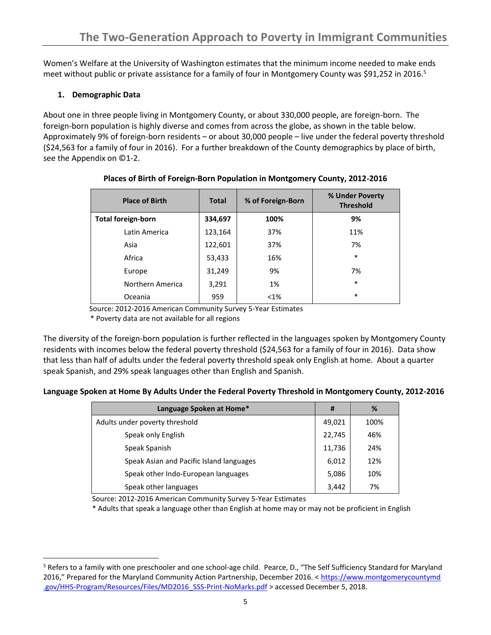Women's Welfare at the University of Washington estimates that the minimum income needed to make ends meet without public or private assistance for a family of four in Montgomery County was \$91,252 in 2016.<sup>5</sup>

## **1. Demographic Data**

 $\overline{a}$ 

About one in three people living in Montgomery County, or about 330,000 people, are foreign-born. The foreign-born population is highly diverse and comes from across the globe, as shown in the table below. Approximately 9% of foreign-born residents – or about 30,000 people – live under the federal poverty threshold (\$24,563 for a family of four in 2016). For a further breakdown of the County demographics by place of birth, see the Appendix on ©1-2.

| <b>Place of Birth</b>     | <b>Total</b> | % of Foreign-Born | % Under Poverty<br><b>Threshold</b> |
|---------------------------|--------------|-------------------|-------------------------------------|
| <b>Total foreign-born</b> | 334,697      | 100%              | 9%                                  |
| Latin America             | 123,164      | 37%               | 11%                                 |
| Asia                      | 122,601      | 37%               | 7%                                  |
| Africa                    | 53,433       | 16%               | $\ast$                              |
| Europe                    | 31,249       | 9%                | 7%                                  |
| Northern America          | 3,291        | 1%                | $\ast$                              |
| Oceania                   | 959          | $< 1\%$           | $\ast$                              |

## **Places of Birth of Foreign-Born Population in Montgomery County, 2012-2016**

Source: 2012-2016 American Community Survey 5-Year Estimates

\* Poverty data are not available for all regions

The diversity of the foreign-born population is further reflected in the languages spoken by Montgomery County residents with incomes below the federal poverty threshold (\$24,563 for a family of four in 2016). Data show that less than half of adults under the federal poverty threshold speak only English at home. About a quarter speak Spanish, and 29% speak languages other than English and Spanish.

| Language Spoken at Home By Adults Under the Federal Poverty Threshold in Montgomery County, 2012-2016 |  |
|-------------------------------------------------------------------------------------------------------|--|
|-------------------------------------------------------------------------------------------------------|--|

| Language Spoken at Home*                 | #      | %    |
|------------------------------------------|--------|------|
| Adults under poverty threshold           | 49,021 | 100% |
| Speak only English                       | 22,745 | 46%  |
| Speak Spanish                            | 11,736 | 24%  |
| Speak Asian and Pacific Island languages | 6,012  | 12%  |
| Speak other Indo-European languages      | 5,086  | 10%  |
| Speak other languages                    | 3,442  | 7%   |

Source: 2012-2016 American Community Survey 5-Year Estimates

\* Adults that speak a language other than English at home may or may not be proficient in English

<sup>&</sup>lt;sup>5</sup> Refers to a family with one preschooler and one school-age child. Pearce, D., "The Self Sufficiency Standard for Maryland 2016," Prepared for the Maryland Community Action Partnership, December 2016. < [https://www.montgomerycountymd](https://www.montgomerycountymd.gov/HHS-Program/Resources/Files/MD2016_SSS-Print-NoMarks.pdf) [.gov/HHS-Program/Resources/Files/MD2016\\_SSS-Print-NoMarks.pdf](https://www.montgomerycountymd.gov/HHS-Program/Resources/Files/MD2016_SSS-Print-NoMarks.pdf) > accessed December 5, 2018.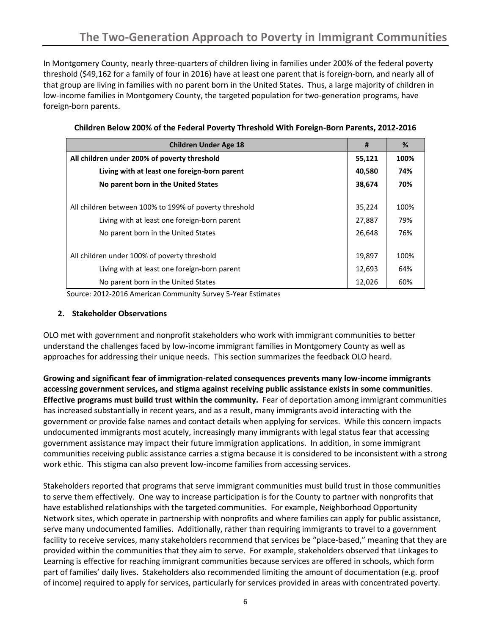In Montgomery County, nearly three-quarters of children living in families under 200% of the federal poverty threshold (\$49,162 for a family of four in 2016) have at least one parent that is foreign-born, and nearly all of that group are living in families with no parent born in the United States. Thus, a large majority of children in low-income families in Montgomery County, the targeted population for two-generation programs, have foreign-born parents.

| <b>Children Under Age 18</b>                           | #      | %    |
|--------------------------------------------------------|--------|------|
| All children under 200% of poverty threshold           |        | 100% |
| Living with at least one foreign-born parent           | 40,580 | 74%  |
| No parent born in the United States                    | 38,674 | 70%  |
| All children between 100% to 199% of poverty threshold | 35,224 | 100% |
| Living with at least one foreign-born parent           | 27,887 | 79%  |
| No parent born in the United States                    | 26,648 | 76%  |
| All children under 100% of poverty threshold           | 19,897 | 100% |
| Living with at least one foreign-born parent           | 12,693 | 64%  |
| No parent born in the United States                    | 12,026 | 60%  |

|  | Children Below 200% of the Federal Poverty Threshold With Foreign-Born Parents, 2012-2016 |  |  |
|--|-------------------------------------------------------------------------------------------|--|--|
|  |                                                                                           |  |  |

Source: 2012-2016 American Community Survey 5-Year Estimates

#### **2. Stakeholder Observations**

OLO met with government and nonprofit stakeholders who work with immigrant communities to better understand the challenges faced by low-income immigrant families in Montgomery County as well as approaches for addressing their unique needs. This section summarizes the feedback OLO heard.

**Growing and significant fear of immigration-related consequences prevents many low-income immigrants accessing government services, and stigma against receiving public assistance exists in some communities**. **Effective programs must build trust within the community.** Fear of deportation among immigrant communities has increased substantially in recent years, and as a result, many immigrants avoid interacting with the government or provide false names and contact details when applying for services. While this concern impacts undocumented immigrants most acutely, increasingly many immigrants with legal status fear that accessing government assistance may impact their future immigration applications. In addition, in some immigrant communities receiving public assistance carries a stigma because it is considered to be inconsistent with a strong work ethic. This stigma can also prevent low-income families from accessing services.

Stakeholders reported that programs that serve immigrant communities must build trust in those communities to serve them effectively. One way to increase participation is for the County to partner with nonprofits that have established relationships with the targeted communities. For example, Neighborhood Opportunity Network sites, which operate in partnership with nonprofits and where families can apply for public assistance, serve many undocumented families. Additionally, rather than requiring immigrants to travel to a government facility to receive services, many stakeholders recommend that services be "place-based," meaning that they are provided within the communities that they aim to serve. For example, stakeholders observed that Linkages to Learning is effective for reaching immigrant communities because services are offered in schools, which form part of families' daily lives. Stakeholders also recommended limiting the amount of documentation (e.g. proof of income) required to apply for services, particularly for services provided in areas with concentrated poverty.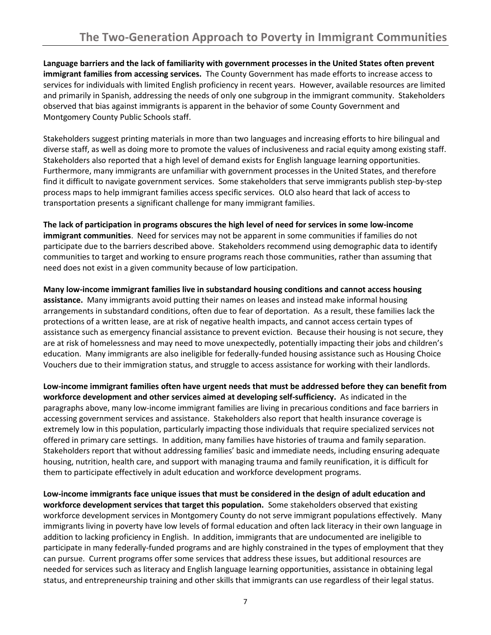**Language barriers and the lack of familiarity with government processes in the United States often prevent immigrant families from accessing services.** The County Government has made efforts to increase access to services for individuals with limited English proficiency in recent years. However, available resources are limited and primarily in Spanish, addressing the needs of only one subgroup in the immigrant community. Stakeholders observed that bias against immigrants is apparent in the behavior of some County Government and Montgomery County Public Schools staff.

Stakeholders suggest printing materials in more than two languages and increasing efforts to hire bilingual and diverse staff, as well as doing more to promote the values of inclusiveness and racial equity among existing staff. Stakeholders also reported that a high level of demand exists for English language learning opportunities. Furthermore, many immigrants are unfamiliar with government processes in the United States, and therefore find it difficult to navigate government services. Some stakeholders that serve immigrants publish step-by-step process maps to help immigrant families access specific services. OLO also heard that lack of access to transportation presents a significant challenge for many immigrant families.

**The lack of participation in programs obscures the high level of need for services in some low-income immigrant communities**. Need for services may not be apparent in some communities if families do not participate due to the barriers described above. Stakeholders recommend using demographic data to identify communities to target and working to ensure programs reach those communities, rather than assuming that need does not exist in a given community because of low participation.

**Many low-income immigrant families live in substandard housing conditions and cannot access housing assistance.** Many immigrants avoid putting their names on leases and instead make informal housing arrangements in substandard conditions, often due to fear of deportation. As a result, these families lack the protections of a written lease, are at risk of negative health impacts, and cannot access certain types of assistance such as emergency financial assistance to prevent eviction. Because their housing is not secure, they are at risk of homelessness and may need to move unexpectedly, potentially impacting their jobs and children's education. Many immigrants are also ineligible for federally-funded housing assistance such as Housing Choice Vouchers due to their immigration status, and struggle to access assistance for working with their landlords.

**Low-income immigrant families often have urgent needs that must be addressed before they can benefit from workforce development and other services aimed at developing self-sufficiency.** As indicated in the paragraphs above, many low-income immigrant families are living in precarious conditions and face barriers in accessing government services and assistance. Stakeholders also report that health insurance coverage is extremely low in this population, particularly impacting those individuals that require specialized services not offered in primary care settings. In addition, many families have histories of trauma and family separation. Stakeholders report that without addressing families' basic and immediate needs, including ensuring adequate housing, nutrition, health care, and support with managing trauma and family reunification, it is difficult for them to participate effectively in adult education and workforce development programs.

**Low-income immigrants face unique issues that must be considered in the design of adult education and workforce development services that target this population.** Some stakeholders observed that existing workforce development services in Montgomery County do not serve immigrant populations effectively. Many immigrants living in poverty have low levels of formal education and often lack literacy in their own language in addition to lacking proficiency in English. In addition, immigrants that are undocumented are ineligible to participate in many federally-funded programs and are highly constrained in the types of employment that they can pursue. Current programs offer some services that address these issues, but additional resources are needed for services such as literacy and English language learning opportunities, assistance in obtaining legal status, and entrepreneurship training and other skills that immigrants can use regardless of their legal status.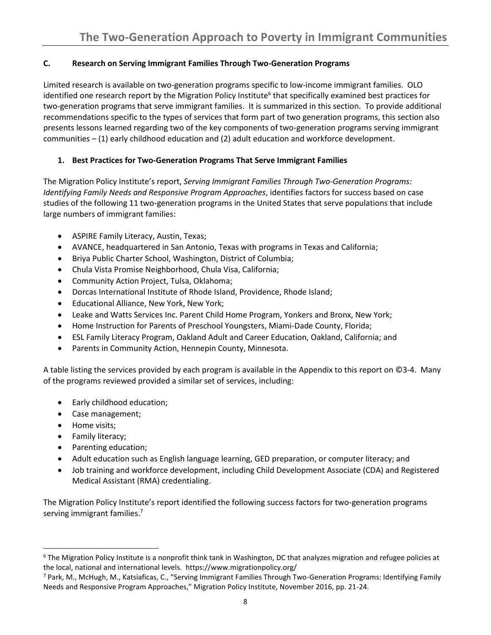## **C. Research on Serving Immigrant Families Through Two-Generation Programs**

Limited research is available on two-generation programs specific to low-income immigrant families. OLO identified one research report by the Migration Policy Institute<sup>6</sup> that specifically examined best practices for two-generation programs that serve immigrant families. It is summarized in this section. To provide additional recommendations specific to the types of services that form part of two generation programs, this section also presents lessons learned regarding two of the key components of two-generation programs serving immigrant communities – (1) early childhood education and (2) adult education and workforce development.

# **1. Best Practices for Two-Generation Programs That Serve Immigrant Families**

The Migration Policy Institute's report, *Serving Immigrant Families Through Two-Generation Programs: Identifying Family Needs and Responsive Program Approaches*, identifies factors for success based on case studies of the following 11 two-generation programs in the United States that serve populations that include large numbers of immigrant families:

- ASPIRE Family Literacy, Austin, Texas;
- AVANCE, headquartered in San Antonio, Texas with programs in Texas and California;
- Briya Public Charter School, Washington, District of Columbia;
- Chula Vista Promise Neighborhood, Chula Visa, California;
- Community Action Project, Tulsa, Oklahoma;
- Dorcas International Institute of Rhode Island, Providence, Rhode Island;
- Educational Alliance, New York, New York;
- Leake and Watts Services Inc. Parent Child Home Program, Yonkers and Bronx, New York;
- Home Instruction for Parents of Preschool Youngsters, Miami-Dade County, Florida;
- ESL Family Literacy Program, Oakland Adult and Career Education, Oakland, California; and
- Parents in Community Action, Hennepin County, Minnesota.

A table listing the services provided by each program is available in the Appendix to this report on ©3-4. Many of the programs reviewed provided a similar set of services, including:

- Early childhood education;
- Case management;
- Home visits;

l

- Family literacy;
- Parenting education;
- Adult education such as English language learning, GED preparation, or computer literacy; and
- Job training and workforce development, including Child Development Associate (CDA) and Registered Medical Assistant (RMA) credentialing.

The Migration Policy Institute's report identified the following success factors for two-generation programs serving immigrant families.<sup>7</sup>

 $6$  The Migration Policy Institute is a nonprofit think tank in Washington, DC that analyzes migration and refugee policies at the local, national and international levels. https://www.migrationpolicy.org/

<sup>7</sup> Park, M., McHugh, M., Katsiaficas, C., "Serving Immigrant Families Through Two-Generation Programs: Identifying Family Needs and Responsive Program Approaches," Migration Policy Institute, November 2016, pp. 21-24.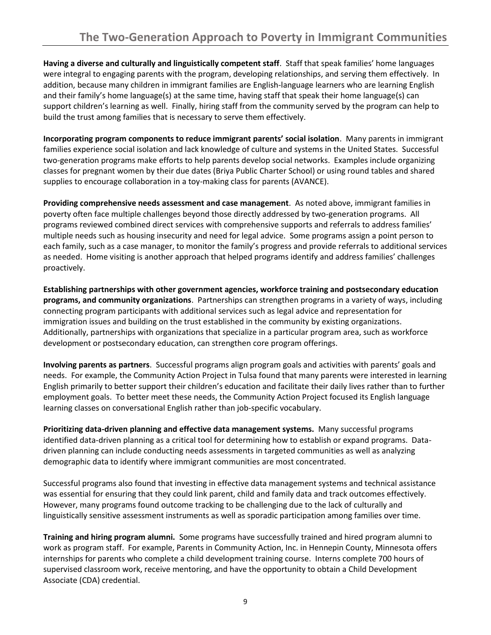**Having a diverse and culturally and linguistically competent staff**. Staff that speak families' home languages were integral to engaging parents with the program, developing relationships, and serving them effectively. In addition, because many children in immigrant families are English-language learners who are learning English and their family's home language(s) at the same time, having staff that speak their home language(s) can support children's learning as well. Finally, hiring staff from the community served by the program can help to build the trust among families that is necessary to serve them effectively.

**Incorporating program components to reduce immigrant parents' social isolation**. Many parents in immigrant families experience social isolation and lack knowledge of culture and systems in the United States. Successful two-generation programs make efforts to help parents develop social networks. Examples include organizing classes for pregnant women by their due dates (Briya Public Charter School) or using round tables and shared supplies to encourage collaboration in a toy-making class for parents (AVANCE).

**Providing comprehensive needs assessment and case management**. As noted above, immigrant families in poverty often face multiple challenges beyond those directly addressed by two-generation programs. All programs reviewed combined direct services with comprehensive supports and referrals to address families' multiple needs such as housing insecurity and need for legal advice. Some programs assign a point person to each family, such as a case manager, to monitor the family's progress and provide referrals to additional services as needed. Home visiting is another approach that helped programs identify and address families' challenges proactively.

**Establishing partnerships with other government agencies, workforce training and postsecondary education programs, and community organizations**. Partnerships can strengthen programs in a variety of ways, including connecting program participants with additional services such as legal advice and representation for immigration issues and building on the trust established in the community by existing organizations. Additionally, partnerships with organizations that specialize in a particular program area, such as workforce development or postsecondary education, can strengthen core program offerings.

**Involving parents as partners**. Successful programs align program goals and activities with parents' goals and needs. For example, the Community Action Project in Tulsa found that many parents were interested in learning English primarily to better support their children's education and facilitate their daily lives rather than to further employment goals. To better meet these needs, the Community Action Project focused its English language learning classes on conversational English rather than job-specific vocabulary.

**Prioritizing data-driven planning and effective data management systems.** Many successful programs identified data-driven planning as a critical tool for determining how to establish or expand programs. Datadriven planning can include conducting needs assessments in targeted communities as well as analyzing demographic data to identify where immigrant communities are most concentrated.

Successful programs also found that investing in effective data management systems and technical assistance was essential for ensuring that they could link parent, child and family data and track outcomes effectively. However, many programs found outcome tracking to be challenging due to the lack of culturally and linguistically sensitive assessment instruments as well as sporadic participation among families over time.

**Training and hiring program alumni.** Some programs have successfully trained and hired program alumni to work as program staff. For example, Parents in Community Action, Inc. in Hennepin County, Minnesota offers internships for parents who complete a child development training course. Interns complete 700 hours of supervised classroom work, receive mentoring, and have the opportunity to obtain a Child Development Associate (CDA) credential.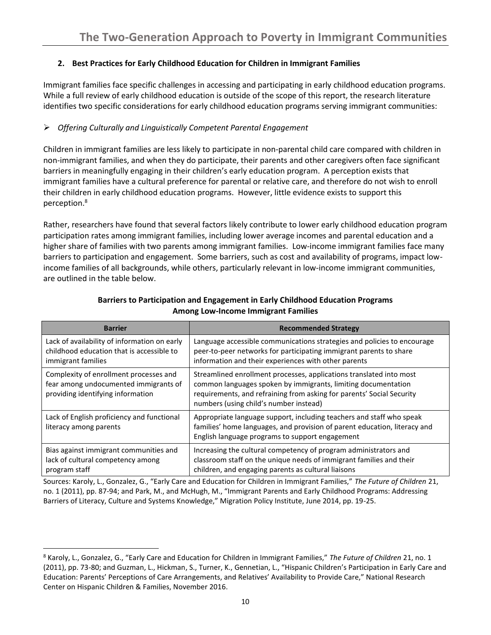## **2. Best Practices for Early Childhood Education for Children in Immigrant Families**

Immigrant families face specific challenges in accessing and participating in early childhood education programs. While a full review of early childhood education is outside of the scope of this report, the research literature identifies two specific considerations for early childhood education programs serving immigrant communities:

# ➢ *Offering Culturally and Linguistically Competent Parental Engagement*

Children in immigrant families are less likely to participate in non-parental child care compared with children in non-immigrant families, and when they do participate, their parents and other caregivers often face significant barriers in meaningfully engaging in their children's early education program. A perception exists that immigrant families have a cultural preference for parental or relative care, and therefore do not wish to enroll their children in early childhood education programs. However, little evidence exists to support this perception.<sup>8</sup>

Rather, researchers have found that several factors likely contribute to lower early childhood education program participation rates among immigrant families, including lower average incomes and parental education and a higher share of families with two parents among immigrant families. Low-income immigrant families face many barriers to participation and engagement. Some barriers, such as cost and availability of programs, impact lowincome families of all backgrounds, while others, particularly relevant in low-income immigrant communities, are outlined in the table below.

| <b>Barrier</b>                                                                                                       | <b>Recommended Strategy</b>                                                                                                                                                                                                                             |
|----------------------------------------------------------------------------------------------------------------------|---------------------------------------------------------------------------------------------------------------------------------------------------------------------------------------------------------------------------------------------------------|
| Lack of availability of information on early<br>childhood education that is accessible to<br>immigrant families      | Language accessible communications strategies and policies to encourage<br>peer-to-peer networks for participating immigrant parents to share<br>information and their experiences with other parents                                                   |
| Complexity of enrollment processes and<br>fear among undocumented immigrants of<br>providing identifying information | Streamlined enrollment processes, applications translated into most<br>common languages spoken by immigrants, limiting documentation<br>requirements, and refraining from asking for parents' Social Security<br>numbers (using child's number instead) |
| Lack of English proficiency and functional<br>literacy among parents                                                 | Appropriate language support, including teachers and staff who speak<br>families' home languages, and provision of parent education, literacy and<br>English language programs to support engagement                                                    |
| Bias against immigrant communities and<br>lack of cultural competency among<br>program staff                         | Increasing the cultural competency of program administrators and<br>classroom staff on the unique needs of immigrant families and their<br>children, and engaging parents as cultural liaisons                                                          |

### **Barriers to Participation and Engagement in Early Childhood Education Programs Among Low-Income Immigrant Families**

Sources: Karoly, L., Gonzalez, G., "Early Care and Education for Children in Immigrant Families," *The Future of Children* 21, no. 1 (2011), pp. 87-94; and Park, M., and McHugh, M., "Immigrant Parents and Early Childhood Programs: Addressing Barriers of Literacy, Culture and Systems Knowledge," Migration Policy Institute, June 2014, pp. 19-25.

l

<sup>8</sup> Karoly, L., Gonzalez, G., "Early Care and Education for Children in Immigrant Families," *The Future of Children* 21, no. 1 (2011), pp. 73-80; and Guzman, L., Hickman, S., Turner, K., Gennetian, L., "Hispanic Children's Participation in Early Care and Education: Parents' Perceptions of Care Arrangements, and Relatives' Availability to Provide Care," National Research Center on Hispanic Children & Families, November 2016.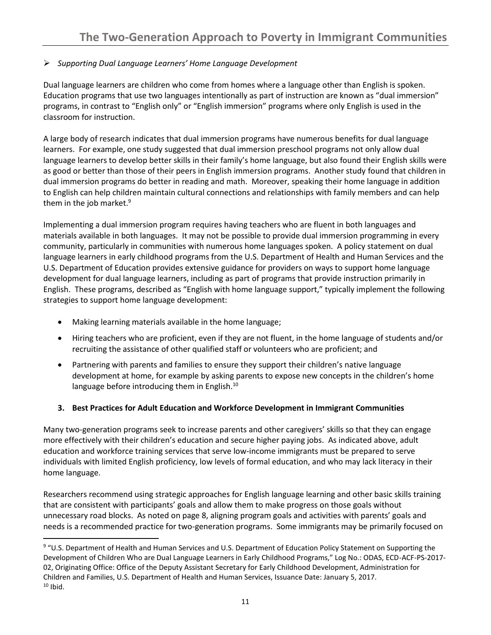## ➢ *Supporting Dual Language Learners' Home Language Development*

Dual language learners are children who come from homes where a language other than English is spoken. Education programs that use two languages intentionally as part of instruction are known as "dual immersion" programs, in contrast to "English only" or "English immersion" programs where only English is used in the classroom for instruction.

A large body of research indicates that dual immersion programs have numerous benefits for dual language learners. For example, one study suggested that dual immersion preschool programs not only allow dual language learners to develop better skills in their family's home language, but also found their English skills were as good or better than those of their peers in English immersion programs. Another study found that children in dual immersion programs do better in reading and math. Moreover, speaking their home language in addition to English can help children maintain cultural connections and relationships with family members and can help them in the job market. $9$ 

Implementing a dual immersion program requires having teachers who are fluent in both languages and materials available in both languages. It may not be possible to provide dual immersion programming in every community, particularly in communities with numerous home languages spoken. A policy statement on dual language learners in early childhood programs from the U.S. Department of Health and Human Services and the U.S. Department of Education provides extensive guidance for providers on ways to support home language development for dual language learners, including as part of programs that provide instruction primarily in English. These programs, described as "English with home language support," typically implement the following strategies to support home language development:

- Making learning materials available in the home language;
- Hiring teachers who are proficient, even if they are not fluent, in the home language of students and/or recruiting the assistance of other qualified staff or volunteers who are proficient; and
- Partnering with parents and families to ensure they support their children's native language development at home, for example by asking parents to expose new concepts in the children's home language before introducing them in English.<sup>10</sup>

## **3. Best Practices for Adult Education and Workforce Development in Immigrant Communities**

Many two-generation programs seek to increase parents and other caregivers' skills so that they can engage more effectively with their children's education and secure higher paying jobs. As indicated above, adult education and workforce training services that serve low-income immigrants must be prepared to serve individuals with limited English proficiency, low levels of formal education, and who may lack literacy in their home language.

Researchers recommend using strategic approaches for English language learning and other basic skills training that are consistent with participants' goals and allow them to make progress on those goals without unnecessary road blocks. As noted on page 8, aligning program goals and activities with parents' goals and needs is a recommended practice for two-generation programs. Some immigrants may be primarily focused on

 $\overline{\phantom{a}}$ <sup>9</sup> "U.S. Department of Health and Human Services and U.S. Department of Education Policy Statement on Supporting the Development of Children Who are Dual Language Learners in Early Childhood Programs," Log No.: ODAS, ECD-ACF-PS-2017- 02, Originating Office: Office of the Deputy Assistant Secretary for Early Childhood Development, Administration for Children and Families, U.S. Department of Health and Human Services, Issuance Date: January 5, 2017.  $10$  Ibid.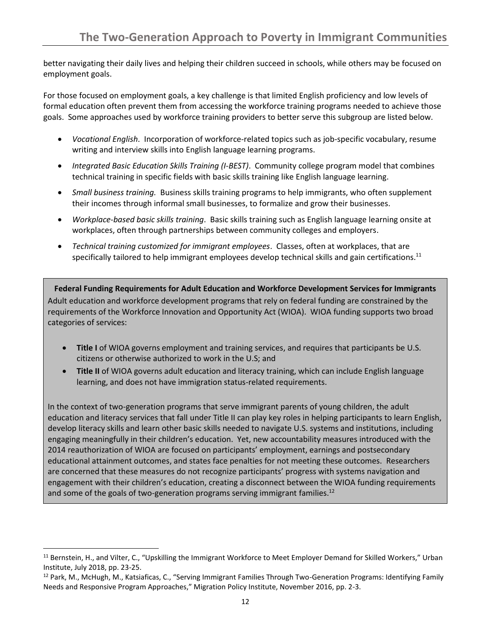better navigating their daily lives and helping their children succeed in schools, while others may be focused on employment goals.

For those focused on employment goals, a key challenge is that limited English proficiency and low levels of formal education often prevent them from accessing the workforce training programs needed to achieve those goals. Some approaches used by workforce training providers to better serve this subgroup are listed below.

- *Vocational English*. Incorporation of workforce-related topics such as job-specific vocabulary, resume writing and interview skills into English language learning programs.
- *Integrated Basic Education Skills Training (I-BEST)*. Community college program model that combines technical training in specific fields with basic skills training like English language learning.
- *Small business training.* Business skills training programs to help immigrants, who often supplement their incomes through informal small businesses, to formalize and grow their businesses.
- *Workplace*-*based basic skills training*. Basic skills training such as English language learning onsite at workplaces, often through partnerships between community colleges and employers.
- *Technical training customized for immigrant employees*. Classes, often at workplaces, that are specifically tailored to help immigrant employees develop technical skills and gain certifications.<sup>11</sup>

**Federal Funding Requirements for Adult Education and Workforce Development Services for Immigrants** Adult education and workforce development programs that rely on federal funding are constrained by the requirements of the Workforce Innovation and Opportunity Act (WIOA). WIOA funding supports two broad categories of services:

- **Title I** of WIOA governs employment and training services, and requires that participants be U.S. citizens or otherwise authorized to work in the U.S; and
- **Title II** of WIOA governs adult education and literacy training, which can include English language learning, and does not have immigration status-related requirements.

In the context of two-generation programs that serve immigrant parents of young children, the adult education and literacy services that fall under Title II can play key roles in helping participants to learn English, develop literacy skills and learn other basic skills needed to navigate U.S. systems and institutions, including engaging meaningfully in their children's education. Yet, new accountability measures introduced with the 2014 reauthorization of WIOA are focused on participants' employment, earnings and postsecondary educational attainment outcomes, and states face penalties for not meeting these outcomes. Researchers are concerned that these measures do not recognize participants' progress with systems navigation and engagement with their children's education, creating a disconnect between the WIOA funding requirements and some of the goals of two-generation programs serving immigrant families.<sup>12</sup>

l

<sup>&</sup>lt;sup>11</sup> Bernstein, H., and Vilter, C., "Upskilling the Immigrant Workforce to Meet Employer Demand for Skilled Workers," Urban Institute, July 2018, pp. 23-25.

<sup>&</sup>lt;sup>12</sup> Park, M., McHugh, M., Katsiaficas, C., "Serving Immigrant Families Through Two-Generation Programs: Identifying Family Needs and Responsive Program Approaches," Migration Policy Institute, November 2016, pp. 2-3.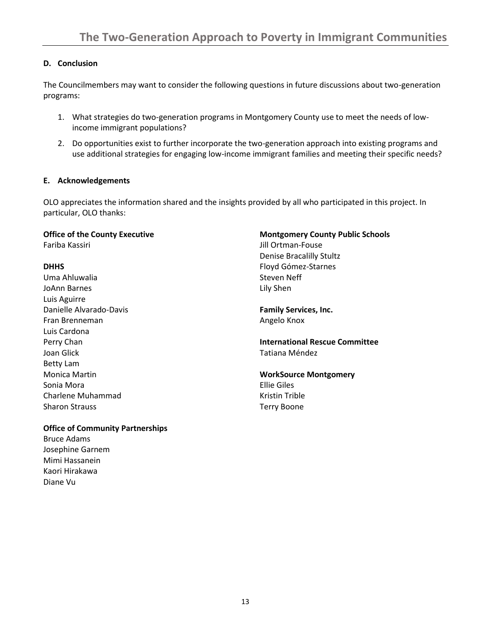#### **D. Conclusion**

The Councilmembers may want to consider the following questions in future discussions about two-generation programs:

- 1. What strategies do two-generation programs in Montgomery County use to meet the needs of lowincome immigrant populations?
- 2. Do opportunities exist to further incorporate the two-generation approach into existing programs and use additional strategies for engaging low-income immigrant families and meeting their specific needs?

#### **E. Acknowledgements**

OLO appreciates the information shared and the insights provided by all who participated in this project. In particular, OLO thanks:

# **Office of the County Executive**

Fariba Kassiri

#### **DHHS**

Uma Ahluwalia JoAnn Barnes Luis Aguirre Danielle Alvarado-Davis Fran Brenneman Luis Cardona Perry Chan Joan Glick Betty Lam Monica Martin Sonia Mora Charlene Muhammad Sharon Strauss

## **Montgomery County Public Schools**

Jill Ortman-Fouse Denise Bracalilly Stultz Floyd Gómez-Starnes Steven Neff Lily Shen

**Family Services, Inc.** Angelo Knox

**International Rescue Committee** Tatiana Méndez

#### **WorkSource Montgomery** Ellie Giles Kristin Trible Terry Boone

#### **Office of Community Partnerships**

Bruce Adams Josephine Garnem Mimi Hassanein Kaori Hirakawa Diane Vu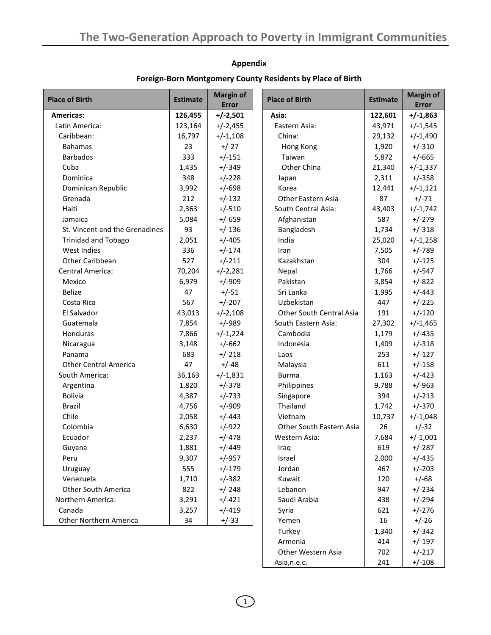## **Appendix**

| <b>Place of Birth</b>          | <b>Estimate</b> | <b>Margin of</b><br><b>Error</b> | <b>Place of Birth</b>    | <b>Estimate</b> | <b>Margin of</b><br><b>Error</b> |
|--------------------------------|-----------------|----------------------------------|--------------------------|-----------------|----------------------------------|
| <b>Americas:</b>               | 126,455         | $+/-2,501$                       | Asia:                    | 122,601         | $+/-1,863$                       |
| Latin America:                 | 123,164         | $+/-2,455$                       | Eastern Asia:            | 43,971          | $+/-1,545$                       |
| Caribbean:                     | 16,797          | $+/-1,108$                       | China:                   | 29,132          | $+/-1,490$                       |
| <b>Bahamas</b>                 | 23              | $+/-27$                          | Hong Kong                | 1,920           | $+/-310$                         |
| <b>Barbados</b>                | 333             | $+/-151$                         | Taiwan                   | 5,872           | $+/-665$                         |
| Cuba                           | 1,435           | $+/-349$                         | Other China              | 21,340          | $+/-1,337$                       |
| Dominica                       | 348             | $+/-228$                         | Japan                    | 2,311           | $+/-358$                         |
| Dominican Republic             | 3,992           | $+/-698$                         | Korea                    | 12,441          | $+/-1,121$                       |
| Grenada                        | 212             | $+/-132$                         | Other Eastern Asia       | 87              | $+/-71$                          |
| Haiti                          | 2,363           | $+/-510$                         | South Central Asia:      | 43,403          | $+/-1,742$                       |
| Jamaica                        | 5,084           | $+/-659$                         | Afghanistan              | 587             | $+/-279$                         |
| St. Vincent and the Grenadines | 93              | $+/-136$                         | Bangladesh               | 1,734           | $+/-318$                         |
| <b>Trinidad and Tobago</b>     | 2,051           | $+/-405$                         | India                    | 25,020          | $+/-1,258$                       |
| West Indies                    | 336             | $+/-174$                         | Iran                     | 7,505           | $+/-789$                         |
| Other Caribbean                | 527             | $+/-211$                         | Kazakhstan               | 304             | $+/-125$                         |
| Central America:               | 70,204          | $+/-2,281$                       | Nepal                    | 1,766           | $+/-547$                         |
| Mexico                         | 6,979           | $+/-909$                         | Pakistan                 | 3,854           | $+/-822$                         |
| <b>Belize</b>                  | 47              | $+/-51$                          | Sri Lanka                | 1,995           | $+/-443$                         |
| Costa Rica                     | 567             | $+/-207$                         | Uzbekistan               | 447             | $+/-225$                         |
| El Salvador                    | 43,013          | $+/-2,108$                       | Other South Central Asia | 191             | $+/-120$                         |
| Guatemala                      | 7,854           | $+/-989$                         | South Eastern Asia:      | 27,302          | $+/-1,465$                       |
| Honduras                       | 7,866           | $+/-1,224$                       | Cambodia                 | 1,179           | $+/-435$                         |
| Nicaragua                      | 3,148           | $+/-662$                         | Indonesia                | 1,409           | $+/-318$                         |
| Panama                         | 683             | $+/-218$                         | Laos                     | 253             | $+/-127$                         |
| <b>Other Central America</b>   | 47              | $+/-48$                          | Malaysia                 | 611             | $+/-158$                         |
| South America:                 | 36,163          | $+/-1,831$                       | <b>Burma</b>             | 1,163           | $+/-423$                         |
| Argentina                      | 1,820           | $+/-378$                         | Philippines              | 9,788           | $+/-963$                         |
| <b>Bolivia</b>                 | 4,387           | $+/-733$                         | Singapore                | 394             | $+/-213$                         |
| <b>Brazil</b>                  | 4,756           | $+/-909$                         | Thailand                 | 1,742           | $+/-370$                         |
| Chile                          | 2,058           | $+/-443$                         | Vietnam                  | 10,737          | $+/-1,048$                       |
| Colombia                       | 6,630           | $+/-922$                         | Other South Eastern Asia | 26              | $+/-32$                          |
| Ecuador                        | 2,237           | $+/-478$                         | Western Asia:            | 7,684           | $+/-1,001$                       |
| Guyana                         | 1,881           | $+/-449$                         | Iraq                     | 619             | $+/-287$                         |
| Peru                           | 9,307           | $+/-957$                         | Israel                   | 2,000           | $+/-435$                         |
| Uruguay                        | 555             | $+/-179$                         | Jordan                   | 467             | $+/-203$                         |
| Venezuela                      | 1,710           | $+/-382$                         | Kuwait                   | 120             | $+/-68$                          |
| <b>Other South America</b>     | 822             | $+/-248$                         | Lebanon                  | 947             | $+/-234$                         |
| Northern America:              | 3,291           | $+/-421$                         | Saudi Arabia             | 438             | $+/-294$                         |
| Canada                         | 3,257           | $+/-419$                         | Syria                    | 621             | $+/-276$                         |
| Other Northern America         | 34              | $+/-33$                          | Yemen                    | 16              | $+/-26$                          |
|                                |                 |                                  | Turkey                   | 1,340           | $+/-342$                         |
|                                |                 |                                  | Armenia                  | 414             | $+/-197$                         |
|                                |                 |                                  | Other Western Asia       | 702             | $+/-217$                         |

## **Foreign-Born Montgomery County Residents by Place of Birth**

 $\bigodot$ 

Other Western Asia 702 +/-217<br>Asia, n.e.c. 241 +/-108

Asia, n.e.c. 241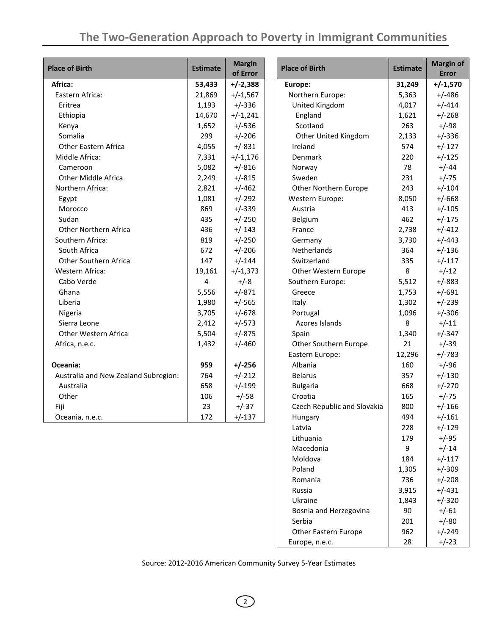| <b>Place of Birth</b>                | <b>Estimate</b> | <b>Margin</b><br>of Error | <b>Place of Birth</b>       | <b>Estimate</b> | <b>Margin of</b><br><b>Error</b> |
|--------------------------------------|-----------------|---------------------------|-----------------------------|-----------------|----------------------------------|
| Africa:                              | 53,433          | $+/-2,388$                | Europe:                     | 31,249          | $+/-1,570$                       |
| Eastern Africa:                      | 21,869          | $+/-1,567$                | Northern Europe:            | 5,363           | $+/-486$                         |
| Eritrea                              | 1,193           | $+/-336$                  | United Kingdom              | 4,017           | $+/-414$                         |
| Ethiopia                             | 14,670          | $+/-1,241$                | England                     | 1,621           | $+/-268$                         |
| Kenya                                | 1,652           | $+/-536$                  | Scotland                    | 263             | $+/-98$                          |
| Somalia                              | 299             | $+/-206$                  | Other United Kingdom        | 2,133           | $+/-336$                         |
| Other Eastern Africa                 | 4,055           | $+/-831$                  | Ireland                     | 574             | $+/-127$                         |
| Middle Africa:                       | 7,331           | $+/-1,176$                | Denmark                     | 220             | $+/-125$                         |
| Cameroon                             | 5,082           | $+/-816$                  | Norway                      | 78              | $+/-44$                          |
| Other Middle Africa                  | 2,249           | $+/-815$                  | Sweden                      | 231             | $+/-75$                          |
| Northern Africa:                     | 2,821           | $+/-462$                  | Other Northern Europe       | 243             | $+/-104$                         |
| Egypt                                | 1,081           | $+/-292$                  | Western Europe:             | 8,050           | $+/-668$                         |
| Morocco                              | 869             | $+/-339$                  | Austria                     | 413             | $+/-105$                         |
| Sudan                                | 435             | $+/-250$                  | Belgium                     | 462             | $+/-175$                         |
| Other Northern Africa                | 436             | $+/-143$                  | France                      | 2,738           | $+/-412$                         |
| Southern Africa:                     | 819             | $+/-250$                  | Germany                     | 3,730           | $+/-443$                         |
| South Africa                         | 672             | $+/-206$                  | Netherlands                 | 364             | $+/-136$                         |
| Other Southern Africa                | 147             | $+/-144$                  | Switzerland                 | 335             | $+/-117$                         |
| Western Africa:                      | 19,161          | $+/-1,373$                | Other Western Europe        | 8               | $+/-12$                          |
| Cabo Verde                           | 4               | $+/-8$                    | Southern Europe:            | 5,512           | $+/-883$                         |
| Ghana                                | 5,556           | $+/-871$                  | Greece                      | 1,753           | $+/-691$                         |
| Liberia                              | 1,980           | $+/-565$                  | Italy                       | 1,302           | $+/-239$                         |
| Nigeria                              | 3,705           | $+/-678$                  | Portugal                    | 1,096           | $+/-306$                         |
| Sierra Leone                         | 2,412           | $+/-573$                  | Azores Islands              | 8               | $+/-11$                          |
| Other Western Africa                 | 5,504           | $+/-875$                  | Spain                       | 1,340           | $+/-347$                         |
| Africa, n.e.c.                       | 1,432           | $+/-460$                  | Other Southern Europe       | 21              | $+/-39$                          |
|                                      |                 |                           | Eastern Europe:             | 12,296          | $+/-783$                         |
| Oceania:                             | 959             | $+/-256$                  | Albania                     | 160             | $+/-96$                          |
| Australia and New Zealand Subregion: | 764             | $+/-212$                  | <b>Belarus</b>              | 357             | $+/-130$                         |
| Australia                            | 658             | $+/-199$                  | <b>Bulgaria</b>             | 668             | $+/-270$                         |
| Other                                | 106             | $+/-58$                   | Croatia                     | 165             | $+/-75$                          |
| Fiji                                 | 23              | $+/-37$                   | Czech Republic and Slovakia | 800             | $+/-166$                         |
| Oceania, n.e.c.                      | 172             | $+/-137$                  | Hungary                     | 494             | $+/-161$                         |
|                                      |                 |                           | Latvia                      | 228             | $+/-129$                         |
|                                      |                 |                           | Lithuania                   | 179             | $+/-95$                          |
|                                      |                 |                           | Macedonia                   | 9               | $+/-14$                          |
|                                      |                 |                           | Moldova                     | 184             | $+/-117$                         |
|                                      |                 |                           | Poland                      | 1,305           | $+/-309$                         |
|                                      |                 |                           | Romania                     | 736             | $+/-208$                         |
|                                      |                 |                           | Russia                      | 3,915           | $+/-431$                         |

Source: 2012-2016 American Community Survey 5-Year Estimates

Ukraine 1,843 +/-320 Bosnia and Herzegovina  $\begin{vmatrix} 90 & +/61 \end{vmatrix}$ Serbia 1990 - 201 +/-80 Other Eastern Europe | 962 | +/-249 Europe, n.e.c.  $28 +/-23$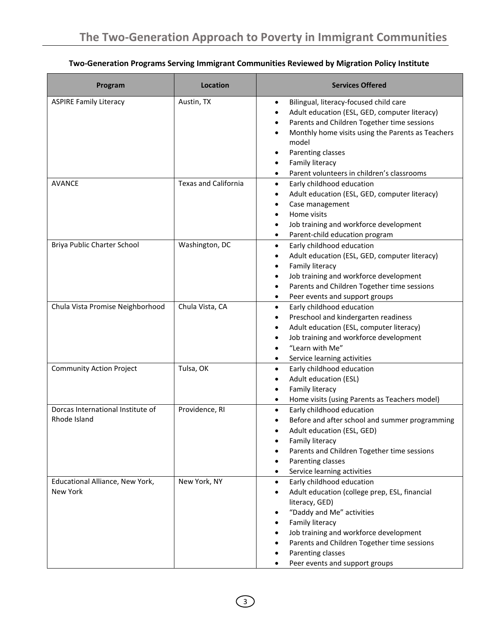# **Two-Generation Programs Serving Immigrant Communities Reviewed by Migration Policy Institute**

| Program                                           | Location                    | <b>Services Offered</b>                                                                                                                                                                                                                                                                                                                                                      |
|---------------------------------------------------|-----------------------------|------------------------------------------------------------------------------------------------------------------------------------------------------------------------------------------------------------------------------------------------------------------------------------------------------------------------------------------------------------------------------|
| <b>ASPIRE Family Literacy</b>                     | Austin, TX                  | Bilingual, literacy-focused child care<br>$\bullet$<br>Adult education (ESL, GED, computer literacy)<br>$\bullet$<br>Parents and Children Together time sessions<br>٠<br>Monthly home visits using the Parents as Teachers<br>٠<br>model<br>Parenting classes<br>$\bullet$<br>Family literacy<br>٠<br>Parent volunteers in children's classrooms<br>$\bullet$                |
| <b>AVANCE</b>                                     | <b>Texas and California</b> | Early childhood education<br>$\bullet$<br>Adult education (ESL, GED, computer literacy)<br>٠<br>Case management<br>$\bullet$<br>Home visits<br>$\bullet$<br>Job training and workforce development<br>٠<br>Parent-child education program<br>٠                                                                                                                               |
| Briya Public Charter School                       | Washington, DC              | Early childhood education<br>$\bullet$<br>Adult education (ESL, GED, computer literacy)<br>$\bullet$<br>Family literacy<br>$\bullet$<br>Job training and workforce development<br>$\bullet$<br>Parents and Children Together time sessions<br>٠<br>Peer events and support groups<br>٠                                                                                       |
| Chula Vista Promise Neighborhood                  | Chula Vista, CA             | Early childhood education<br>$\bullet$<br>Preschool and kindergarten readiness<br>$\bullet$<br>Adult education (ESL, computer literacy)<br>$\bullet$<br>Job training and workforce development<br>٠<br>"Learn with Me"<br>$\bullet$<br>Service learning activities<br>$\bullet$                                                                                              |
| <b>Community Action Project</b>                   | Tulsa, OK                   | Early childhood education<br>$\bullet$<br>Adult education (ESL)<br>$\bullet$<br>Family literacy<br>$\bullet$<br>Home visits (using Parents as Teachers model)<br>$\bullet$                                                                                                                                                                                                   |
| Dorcas International Institute of<br>Rhode Island | Providence, RI              | Early childhood education<br>$\bullet$<br>Before and after school and summer programming<br>Adult education (ESL, GED)<br>Family literacy<br>Parents and Children Together time sessions<br>Parenting classes<br>$\bullet$<br>Service learning activities<br>$\bullet$                                                                                                       |
| Educational Alliance, New York,<br>New York       | New York, NY                | Early childhood education<br>$\bullet$<br>Adult education (college prep, ESL, financial<br>$\bullet$<br>literacy, GED)<br>"Daddy and Me" activities<br>٠<br>Family literacy<br>٠<br>Job training and workforce development<br>$\bullet$<br>Parents and Children Together time sessions<br>٠<br>Parenting classes<br>$\bullet$<br>Peer events and support groups<br>$\bullet$ |